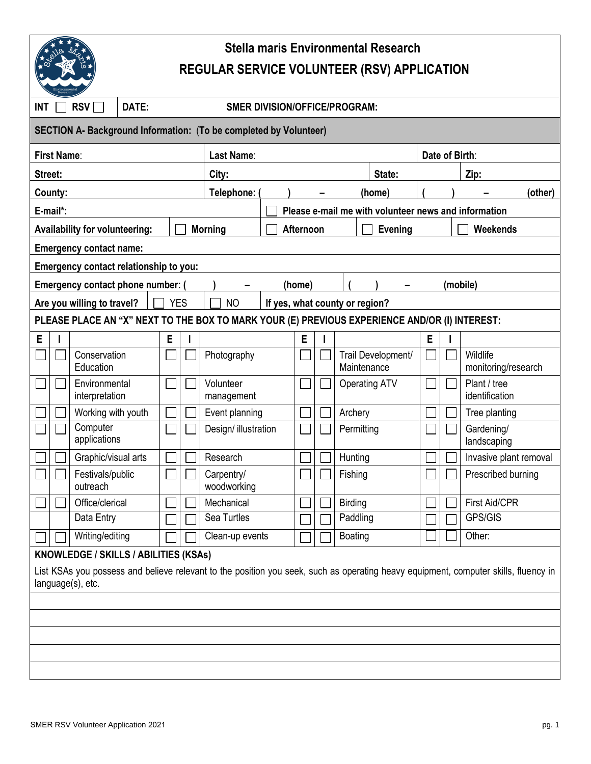

## **Stella maris Environmental Research REGULAR SERVICE VOLUNTEER (RSV) APPLICATION**

| RSV  <br>DATE:<br><b>INT</b><br><b>SMER DIVISION/OFFICE/PROGRAM:</b>                                                                                                                              |                                 |                  |   |                |                             |                                                      |                |        |                      |                    |          |  |                                 |  |
|---------------------------------------------------------------------------------------------------------------------------------------------------------------------------------------------------|---------------------------------|------------------|---|----------------|-----------------------------|------------------------------------------------------|----------------|--------|----------------------|--------------------|----------|--|---------------------------------|--|
| SECTION A- Background Information: (To be completed by Volunteer)                                                                                                                                 |                                 |                  |   |                |                             |                                                      |                |        |                      |                    |          |  |                                 |  |
| <b>First Name:</b>                                                                                                                                                                                | Last Name:                      |                  |   |                |                             |                                                      | Date of Birth: |        |                      |                    |          |  |                                 |  |
| Street:                                                                                                                                                                                           |                                 |                  |   |                | City:                       |                                                      |                | State: |                      |                    |          |  | Zip:                            |  |
| County:                                                                                                                                                                                           |                                 |                  |   |                | Telephone:                  |                                                      |                |        |                      |                    | (home)   |  | (other)                         |  |
| E-mail*:                                                                                                                                                                                          |                                 |                  |   |                |                             | Please e-mail me with volunteer news and information |                |        |                      |                    |          |  |                                 |  |
| <b>Availability for volunteering:</b>                                                                                                                                                             |                                 |                  |   | <b>Morning</b> | Afternoon<br><b>Evening</b> |                                                      |                |        |                      | Weekends           |          |  |                                 |  |
| <b>Emergency contact name:</b>                                                                                                                                                                    |                                 |                  |   |                |                             |                                                      |                |        |                      |                    |          |  |                                 |  |
| Emergency contact relationship to you:                                                                                                                                                            |                                 |                  |   |                |                             |                                                      |                |        |                      |                    |          |  |                                 |  |
| Emergency contact phone number: (<br>(home)                                                                                                                                                       |                                 |                  |   |                |                             |                                                      |                |        |                      |                    | (mobile) |  |                                 |  |
| <b>YES</b><br>Are you willing to travel?<br><b>NO</b><br>If yes, what county or region?                                                                                                           |                                 |                  |   |                |                             |                                                      |                |        |                      |                    |          |  |                                 |  |
| PLEASE PLACE AN "X" NEXT TO THE BOX TO MARK YOUR (E) PREVIOUS EXPERIENCE AND/OR (I) INTEREST:                                                                                                     |                                 |                  |   |                |                             |                                                      |                |        |                      |                    |          |  |                                 |  |
| E                                                                                                                                                                                                 |                                 |                  | E |                |                             |                                                      | E              |        |                      |                    | Ε        |  |                                 |  |
|                                                                                                                                                                                                   | Conservation<br>Education       |                  |   |                | Photography                 |                                                      |                |        | Maintenance          | Trail Development/ |          |  | Wildlife<br>monitoring/research |  |
|                                                                                                                                                                                                   | Environmental<br>interpretation |                  |   |                | Volunteer<br>management     |                                                      |                |        | <b>Operating ATV</b> |                    |          |  | Plant / tree<br>identification  |  |
|                                                                                                                                                                                                   | Working with youth              |                  |   |                | Event planning              |                                                      |                |        | Archery              |                    |          |  | Tree planting                   |  |
|                                                                                                                                                                                                   | Computer<br>applications        |                  |   |                | Design/ illustration        |                                                      |                |        | Permitting           |                    |          |  | Gardening/<br>landscaping       |  |
|                                                                                                                                                                                                   | Graphic/visual arts             |                  |   |                | Research                    |                                                      |                |        | Hunting              |                    |          |  | Invasive plant removal          |  |
|                                                                                                                                                                                                   | outreach                        | Festivals/public |   |                | Carpentry/<br>woodworking   |                                                      |                |        | Fishing              |                    |          |  | Prescribed burning              |  |
|                                                                                                                                                                                                   |                                 | Office/clerical  |   | Mechanical     |                             |                                                      |                |        | <b>Birding</b>       |                    |          |  | <b>First Aid/CPR</b>            |  |
|                                                                                                                                                                                                   |                                 | Data Entry       |   |                | Sea Turtles                 |                                                      |                |        | Paddling             |                    |          |  | GPS/GIS                         |  |
|                                                                                                                                                                                                   | Writing/editing                 |                  |   |                | Clean-up events             |                                                      |                |        | Boating              |                    |          |  | Other:                          |  |
| KNOWLEDGE / SKILLS / ABILITIES (KSAs)<br>List KSAs you possess and believe relevant to the position you seek, such as operating heavy equipment, computer skills, fluency in<br>language(s), etc. |                                 |                  |   |                |                             |                                                      |                |        |                      |                    |          |  |                                 |  |
|                                                                                                                                                                                                   |                                 |                  |   |                |                             |                                                      |                |        |                      |                    |          |  |                                 |  |
|                                                                                                                                                                                                   |                                 |                  |   |                |                             |                                                      |                |        |                      |                    |          |  |                                 |  |
|                                                                                                                                                                                                   |                                 |                  |   |                |                             |                                                      |                |        |                      |                    |          |  |                                 |  |
|                                                                                                                                                                                                   |                                 |                  |   |                |                             |                                                      |                |        |                      |                    |          |  |                                 |  |
|                                                                                                                                                                                                   |                                 |                  |   |                |                             |                                                      |                |        |                      |                    |          |  |                                 |  |